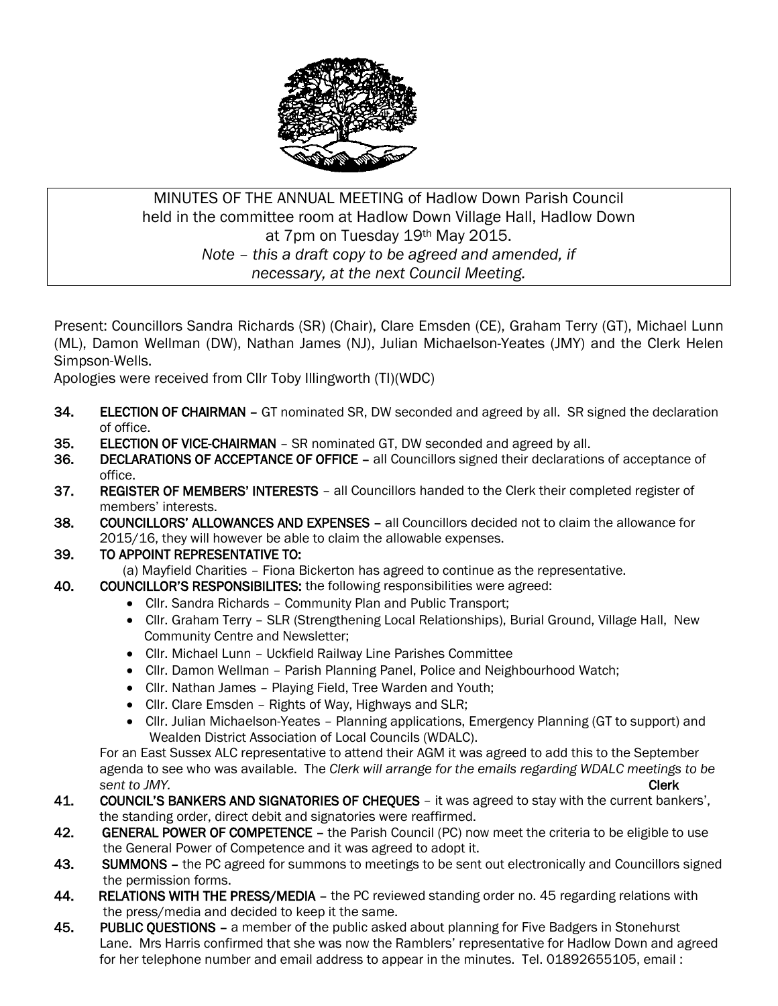

## MINUTES OF THE ANNUAL MEETING of Hadlow Down Parish Council held in the committee room at Hadlow Down Village Hall, Hadlow Down at 7pm on Tuesday 19th May 2015. *Note – this a draft copy to be agreed and amended, if necessary, at the next Council Meeting.*

Present: Councillors Sandra Richards (SR) (Chair), Clare Emsden (CE), Graham Terry (GT), Michael Lunn (ML), Damon Wellman (DW), Nathan James (NJ), Julian Michaelson-Yeates (JMY) and the Clerk Helen Simpson-Wells.

Apologies were received from Cllr Toby Illingworth (TI)(WDC)

- 34. ELECTION OF CHAIRMAN GT nominated SR, DW seconded and agreed by all. SR signed the declaration of office.
- 35. ELECTION OF VICE-CHAIRMAN SR nominated GT, DW seconded and agreed by all.
- 36. DECLARATIONS OF ACCEPTANCE OF OFFICE all Councillors signed their declarations of acceptance of office.
- 37. REGISTER OF MEMBERS' INTERESTS all Councillors handed to the Clerk their completed register of members' interests.
- 38. COUNCILLORS' ALLOWANCES AND EXPENSES all Councillors decided not to claim the allowance for 2015/16, they will however be able to claim the allowable expenses.

39. TO APPOINT REPRESENTATIVE TO:

(a) Mayfield Charities – Fiona Bickerton has agreed to continue as the representative.

- 40. COUNCILLOR'S RESPONSIBILITES: the following responsibilities were agreed:
	- Cllr. Sandra Richards Community Plan and Public Transport;
	- Cllr. Graham Terry SLR (Strengthening Local Relationships), Burial Ground, Village Hall, New Community Centre and Newsletter;
	- Cllr. Michael Lunn Uckfield Railway Line Parishes Committee
	- Cllr. Damon Wellman Parish Planning Panel, Police and Neighbourhood Watch;
	- Cllr. Nathan James Playing Field, Tree Warden and Youth;
	- Cllr. Clare Emsden Rights of Way, Highways and SLR;
	- Cllr. Julian Michaelson-Yeates Planning applications, Emergency Planning (GT to support) and Wealden District Association of Local Councils (WDALC).

 For an East Sussex ALC representative to attend their AGM it was agreed to add this to the September agenda to see who was available. The *Clerk will arrange for the emails regarding WDALC meetings to be Sent to JMY.* **Clerk** 

- 41. COUNCIL'S BANKERS AND SIGNATORIES OF CHEOUES it was agreed to stay with the current bankers'. the standing order, direct debit and signatories were reaffirmed.
- 42. GENERAL POWER OF COMPETENCE the Parish Council (PC) now meet the criteria to be eligible to use the General Power of Competence and it was agreed to adopt it.
- 43. SUMMONS the PC agreed for summons to meetings to be sent out electronically and Councillors signed the permission forms.
- 44. RELATIONS WITH THE PRESS/MEDIA the PC reviewed standing order no. 45 regarding relations with the press/media and decided to keep it the same.
- 45. PUBLIC QUESTIONS a member of the public asked about planning for Five Badgers in Stonehurst Lane. Mrs Harris confirmed that she was now the Ramblers' representative for Hadlow Down and agreed for her telephone number and email address to appear in the minutes. Tel. 01892655105, email :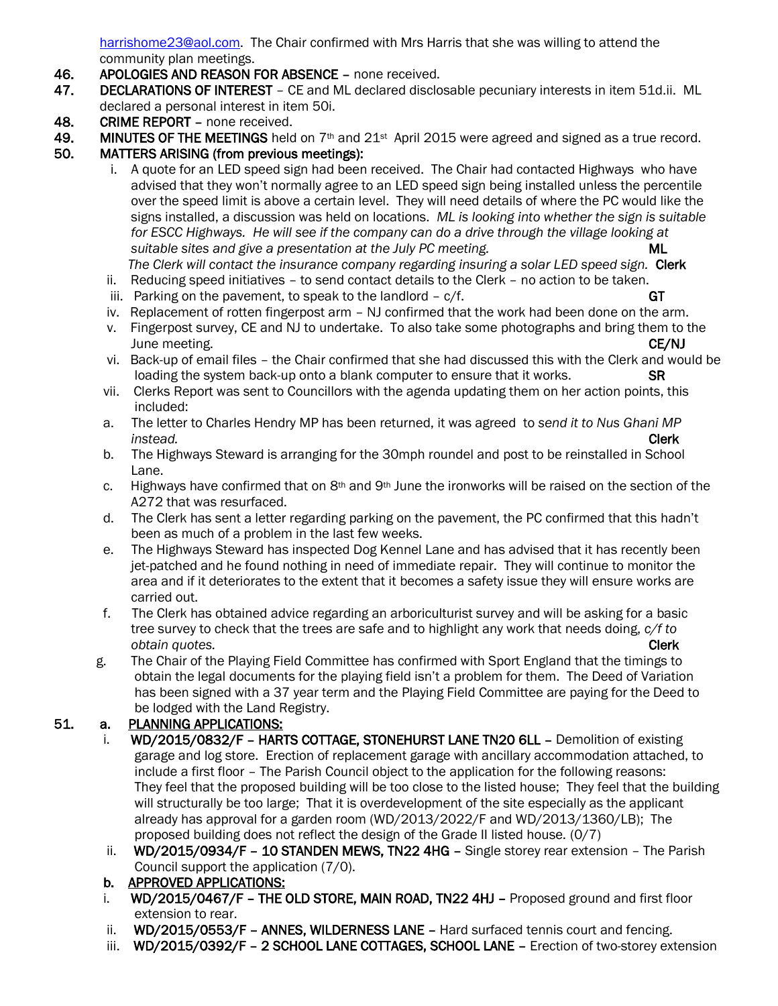[harrishome23@aol.com.](mailto:harrishome23@aol.com) The Chair confirmed with Mrs Harris that she was willing to attend the community plan meetings.

- 46. APOLOGIES AND REASON FOR ABSENCE none received.
- 47. DECLARATIONS OF INTEREST CE and ML declared disclosable pecuniary interests in item 51d.ii. ML declared a personal interest in item 50i.
- 48. CRIME REPORT none received.
- 49. MINUTES OF THE MEETINGS held on  $7<sup>th</sup>$  and 21<sup>st</sup> April 2015 were agreed and signed as a true record.
- 50. MATTERS ARISING (from previous meetings):
	- i. A quote for an LED speed sign had been received. The Chair had contacted Highways who have advised that they won't normally agree to an LED speed sign being installed unless the percentile over the speed limit is above a certain level. They will need details of where the PC would like the signs installed, a discussion was held on locations. *ML is looking into whether the sign is suitable for ESCC Highways. He will see if the company can do a drive through the village looking at suitable sites and give a presentation at the July PC meeting.* ML

The Clerk will contact the insurance company regarding insuring a solar LED speed sign. **Clerk** 

- ii. Reducing speed initiatives to send contact details to the Clerk no action to be taken.
- iii. Parking on the pavement, to speak to the landlord  $c/f$ . GT
- iv. Replacement of rotten fingerpost arm NJ confirmed that the work had been done on the arm.
- v. Fingerpost survey, CE and NJ to undertake. To also take some photographs and bring them to the June meeting. CE/NJ
- vi. Back-up of email files the Chair confirmed that she had discussed this with the Clerk and would be loading the system back-up onto a blank computer to ensure that it works. SR
- vii. Clerks Report was sent to Councillors with the agenda updating them on her action points, this included:
- a. The letter to Charles Hendry MP has been returned, it was agreed to *send it to Nus Ghani MP instead.* Clerk
	- b. The Highways Steward is arranging for the 30mph roundel and post to be reinstalled in School Lane.
	- c. Highways have confirmed that on  $8<sup>th</sup>$  and  $9<sup>th</sup>$  June the ironworks will be raised on the section of the A272 that was resurfaced.
	- d. The Clerk has sent a letter regarding parking on the pavement, the PC confirmed that this hadn't been as much of a problem in the last few weeks.
	- e. The Highways Steward has inspected Dog Kennel Lane and has advised that it has recently been jet-patched and he found nothing in need of immediate repair. They will continue to monitor the area and if it deteriorates to the extent that it becomes a safety issue they will ensure works are carried out.
	- f. The Clerk has obtained advice regarding an arboriculturist survey and will be asking for a basic tree survey to check that the trees are safe and to highlight any work that needs doing, *c/f to <u><i>obtain quotes.* Clerk</u>
	- g. The Chair of the Playing Field Committee has confirmed with Sport England that the timings to obtain the legal documents for the playing field isn't a problem for them. The Deed of Variation has been signed with a 37 year term and the Playing Field Committee are paying for the Deed to be lodged with the Land Registry.

### 51. a. PLANNING APPLICATIONS:

- i. WD/2015/0832/F HARTS COTTAGE, STONEHURST LANE TN20 6LL Demolition of existing garage and log store. Erection of replacement garage with ancillary accommodation attached, to include a first floor – The Parish Council object to the application for the following reasons: They feel that the proposed building will be too close to the listed house; They feel that the building will structurally be too large; That it is overdevelopment of the site especially as the applicant already has approval for a garden room (WD/2013/2022/F and WD/2013/1360/LB); The proposed building does not reflect the design of the Grade II listed house. (0/7)
	- ii. WD/2015/0934/F 10 STANDEN MEWS, TN22 4HG Single storey rear extension The Parish Council support the application (7/0).
	- b. APPROVED APPLICATIONS:
	- i. WD/2015/0467/F THE OLD STORE, MAIN ROAD, TN22 4HJ Proposed ground and first floor extension to rear.
	- ii. WD/2015/0553/F ANNES, WILDERNESS LANE Hard surfaced tennis court and fencing.
	- iii. WD/2015/0392/F 2 SCHOOL LANE COTTAGES, SCHOOL LANE Erection of two-storey extension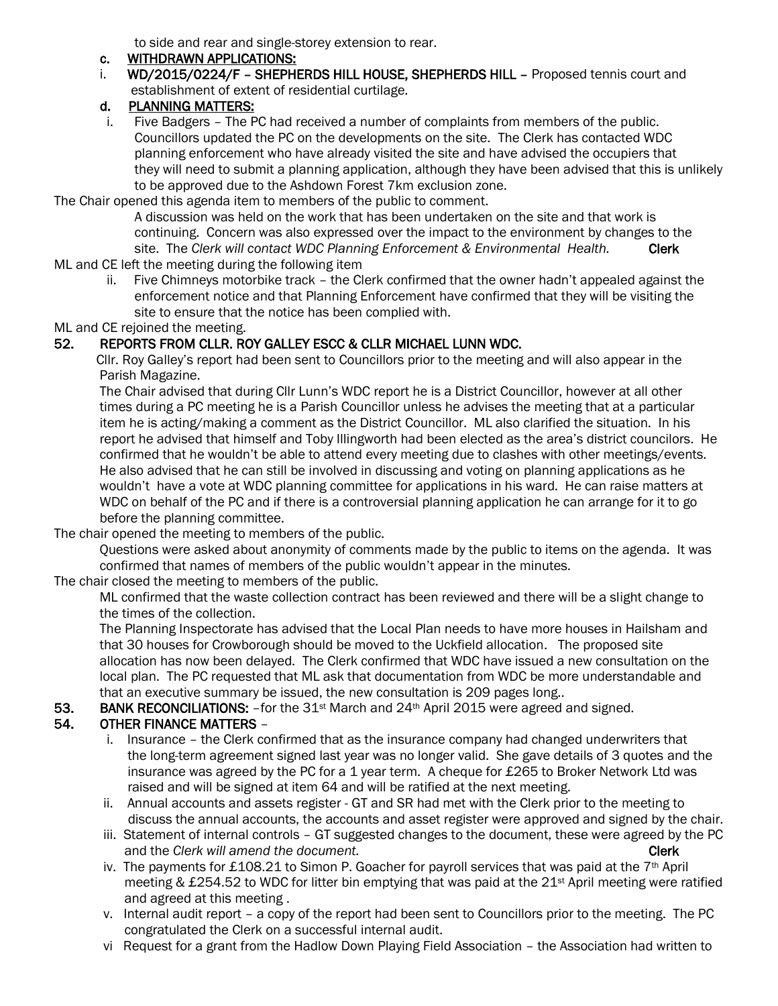to side and rear and single-storey extension to rear.

#### c. WITHDRAWN APPLICATIONS:

i. WD/2015/0224/F - SHEPHERDS HILL HOUSE, SHEPHERDS HILL - Proposed tennis court and establishment of extent of residential curtilage.

## d. PLANNING MATTERS:

 i. Five Badgers – The PC had received a number of complaints from members of the public. Councillors updated the PC on the developments on the site. The Clerk has contacted WDC planning enforcement who have already visited the site and have advised the occupiers that they will need to submit a planning application, although they have been advised that this is unlikely to be approved due to the Ashdown Forest 7km exclusion zone.

The Chair opened this agenda item to members of the public to comment.

 A discussion was held on the work that has been undertaken on the site and that work is continuing. Concern was also expressed over the impact to the environment by changes to the site. The Clerk will contact WDC Planning Enforcement & Environmental Health. **Clerk** 

- ML and CE left the meeting during the following item
	- ii. Five Chimneys motorbike track the Clerk confirmed that the owner hadn't appealed against the enforcement notice and that Planning Enforcement have confirmed that they will be visiting the site to ensure that the notice has been complied with.

ML and CE rejoined the meeting.

## 52. REPORTS FROM CLLR. ROY GALLEY ESCC & CLLR MICHAEL LUNN WDC.

 Cllr. Roy Galley's report had been sent to Councillors prior to the meeting and will also appear in the Parish Magazine.

 The Chair advised that during Cllr Lunn's WDC report he is a District Councillor, however at all other times during a PC meeting he is a Parish Councillor unless he advises the meeting that at a particular item he is acting/making a comment as the District Councillor. ML also clarified the situation. In his report he advised that himself and Toby Illingworth had been elected as the area's district councilors. He confirmed that he wouldn't be able to attend every meeting due to clashes with other meetings/events. He also advised that he can still be involved in discussing and voting on planning applications as he wouldn't have a vote at WDC planning committee for applications in his ward. He can raise matters at WDC on behalf of the PC and if there is a controversial planning application he can arrange for it to go before the planning committee.

The chair opened the meeting to members of the public.

 Questions were asked about anonymity of comments made by the public to items on the agenda. It was confirmed that names of members of the public wouldn't appear in the minutes.

The chair closed the meeting to members of the public.

 ML confirmed that the waste collection contract has been reviewed and there will be a slight change to the times of the collection.

 The Planning Inspectorate has advised that the Local Plan needs to have more houses in Hailsham and that 30 houses for Crowborough should be moved to the Uckfield allocation. The proposed site allocation has now been delayed. The Clerk confirmed that WDC have issued a new consultation on the local plan. The PC requested that ML ask that documentation from WDC be more understandable and that an executive summary be issued, the new consultation is 209 pages long..

### 53. BANK RECONCILIATIONS: - for the 31<sup>st</sup> March and 24<sup>th</sup> April 2015 were agreed and signed.

# 54. OTHER FINANCE MATTERS –

- i. Insurance the Clerk confirmed that as the insurance company had changed underwriters that the long-term agreement signed last year was no longer valid. She gave details of 3 quotes and the insurance was agreed by the PC for a 1 year term. A cheque for £265 to Broker Network Ltd was raised and will be signed at item 64 and will be ratified at the next meeting.
- ii. Annual accounts and assets register GT and SR had met with the Clerk prior to the meeting to discuss the annual accounts, the accounts and asset register were approved and signed by the chair.
- iii. Statement of internal controls GT suggested changes to the document, these were agreed by the PC and the *Clerk will amend the document.* Clerk and the *Clerk* Clerk and the *Clerk* clerk
- iv. The payments for £108.21 to Simon P. Goacher for payroll services that was paid at the 7<sup>th</sup> April meeting & £254.52 to WDC for litter bin emptying that was paid at the 21st April meeting were ratified and agreed at this meeting .
- v. Internal audit report a copy of the report had been sent to Councillors prior to the meeting. The PC congratulated the Clerk on a successful internal audit.
- vi Request for a grant from the Hadlow Down Playing Field Association the Association had written to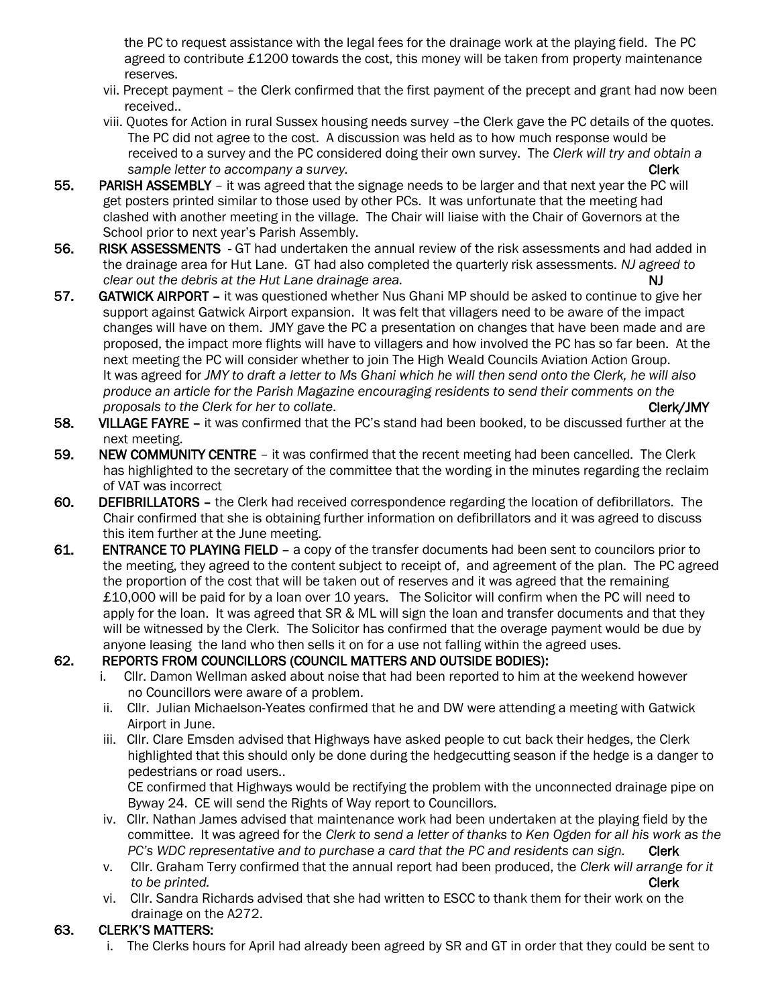the PC to request assistance with the legal fees for the drainage work at the playing field. The PC agreed to contribute £1200 towards the cost, this money will be taken from property maintenance reserves.

- vii. Precept payment the Clerk confirmed that the first payment of the precept and grant had now been received..
- viii. Quotes for Action in rural Sussex housing needs survey –the Clerk gave the PC details of the quotes. The PC did not agree to the cost. A discussion was held as to how much response would be received to a survey and the PC considered doing their own survey. The *Clerk will try and obtain a Sample letter to accompany a survey.* Clerk and the state of the state of the state of the state of the state of the state of the state of the state of the state of the state of the state of the state of the state of th
- 55. PARISH ASSEMBLY it was agreed that the signage needs to be larger and that next year the PC will get posters printed similar to those used by other PCs. It was unfortunate that the meeting had clashed with another meeting in the village. The Chair will liaise with the Chair of Governors at the School prior to next year's Parish Assembly.
- 56. RISK ASSESSMENTS GT had undertaken the annual review of the risk assessments and had added in the drainage area for Hut Lane. GT had also completed the quarterly risk assessments. *NJ agreed to clear out the debris at the Hut Lane drainage area.* NJ
- 57. GATWICK AIRPORT it was questioned whether Nus Ghani MP should be asked to continue to give her support against Gatwick Airport expansion. It was felt that villagers need to be aware of the impact changes will have on them. JMY gave the PC a presentation on changes that have been made and are proposed, the impact more flights will have to villagers and how involved the PC has so far been. At the next meeting the PC will consider whether to join The High Weald Councils Aviation Action Group. It was agreed for *JMY to draft a letter to Ms Ghani which he will then send onto the Clerk, he will also produce an article for the Parish Magazine encouraging residents to send their comments on the proposals to the Clerk for her to collate.* Clerk and the contract of the clerk of the clerk of the clerk of the clerk of the clerk of the clerk of the clerk of the clerk of the clerk of the clerk of the clerk of the cl
- 58. VILLAGE FAYRE it was confirmed that the PC's stand had been booked, to be discussed further at the next meeting.
- 59. NEW COMMUNITY CENTRE it was confirmed that the recent meeting had been cancelled. The Clerk has highlighted to the secretary of the committee that the wording in the minutes regarding the reclaim of VAT was incorrect
- 60. DEFIBRILLATORS the Clerk had received correspondence regarding the location of defibrillators. The Chair confirmed that she is obtaining further information on defibrillators and it was agreed to discuss this item further at the June meeting.
- 61. ENTRANCE TO PLAYING FIELD a copy of the transfer documents had been sent to councilors prior to the meeting, they agreed to the content subject to receipt of, and agreement of the plan. The PC agreed the proportion of the cost that will be taken out of reserves and it was agreed that the remaining £10,000 will be paid for by a loan over 10 years. The Solicitor will confirm when the PC will need to apply for the loan. It was agreed that SR & ML will sign the loan and transfer documents and that they will be witnessed by the Clerk. The Solicitor has confirmed that the overage payment would be due by anyone leasing the land who then sells it on for a use not falling within the agreed uses.

### 62. REPORTS FROM COUNCILLORS (COUNCIL MATTERS AND OUTSIDE BODIES):

- i. Cllr. Damon Wellman asked about noise that had been reported to him at the weekend however no Councillors were aware of a problem.
- ii. Cllr. Julian Michaelson-Yeates confirmed that he and DW were attending a meeting with Gatwick Airport in June.
- iii. Cllr. Clare Emsden advised that Highways have asked people to cut back their hedges, the Clerk highlighted that this should only be done during the hedgecutting season if the hedge is a danger to pedestrians or road users..

 CE confirmed that Highways would be rectifying the problem with the unconnected drainage pipe on Byway 24. CE will send the Rights of Way report to Councillors.

- iv. Cllr. Nathan James advised that maintenance work had been undertaken at the playing field by the committee. It was agreed for the *Clerk to send a letter of thanks to Ken Ogden for all his work as the PC's WDC representative and to purchase a card that the PC and residents can sign.* Clerk
- v. Cllr. Graham Terry confirmed that the annual report had been produced, the *Clerk will arrange for it to be printed.* **Clerk**
- vi. Cllr. Sandra Richards advised that she had written to ESCC to thank them for their work on the drainage on the A272.

### 63. CLERK'S MATTERS:

i. The Clerks hours for April had already been agreed by SR and GT in order that they could be sent to